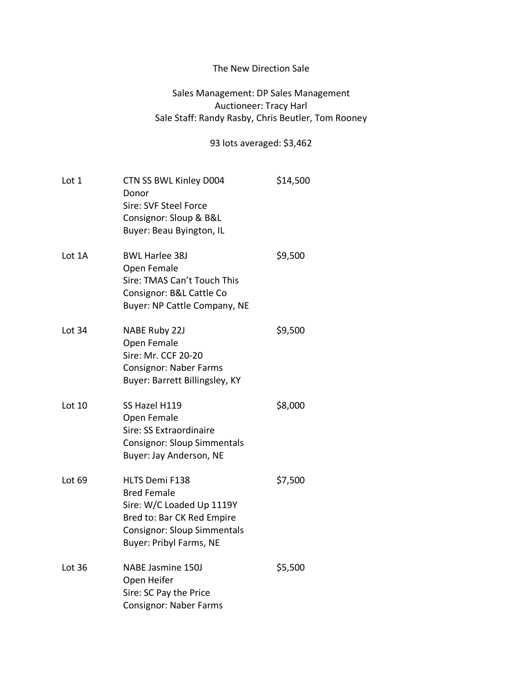## The New Direction Sale

## Sales Management: DP Sales Management Auctioneer: Tracy Harl Sale Staff: Randy Rasby, Chris Beutler, Tom Rooney

## 93 lots averaged: \$3,462

| Lot 1    | CTN SS BWL Kinley D004<br>Donor<br>Sire: SVF Steel Force<br>Consignor: Sloup & B&L<br>Buyer: Beau Byington, IL                                                          | \$14,500 |
|----------|-------------------------------------------------------------------------------------------------------------------------------------------------------------------------|----------|
| Lot 1A   | <b>BWL Harlee 38J</b><br>Open Female<br>Sire: TMAS Can't Touch This<br>Consignor: B&L Cattle Co<br>Buyer: NP Cattle Company, NE                                         | \$9,500  |
| Lot 34   | <b>NABE Ruby 22J</b><br>Open Female<br>Sire: Mr. CCF 20-20<br><b>Consignor: Naber Farms</b><br>Buyer: Barrett Billingsley, KY                                           | \$9,500  |
| Lot $10$ | SS Hazel H119<br>Open Female<br>Sire: SS Extraordinaire<br><b>Consignor: Sloup Simmentals</b><br>Buyer: Jay Anderson, NE                                                | \$8,000  |
| Lot 69   | <b>HLTS Demi F138</b><br><b>Bred Female</b><br>Sire: W/C Loaded Up 1119Y<br>Bred to: Bar CK Red Empire<br><b>Consignor: Sloup Simmentals</b><br>Buyer: Pribyl Farms, NE | \$7,500  |
| Lot 36   | <b>NABE Jasmine 150J</b><br>Open Heifer<br>Sire: SC Pay the Price<br><b>Consignor: Naber Farms</b>                                                                      | \$5,500  |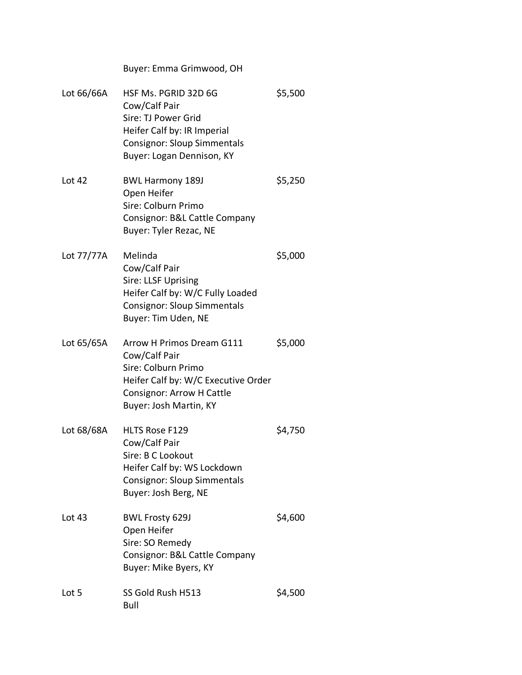Buyer: Emma Grimwood, OH

| Lot 66/66A   | HSF Ms. PGRID 32D 6G<br>Cow/Calf Pair<br>Sire: TJ Power Grid<br>Heifer Calf by: IR Imperial<br><b>Consignor: Sloup Simmentals</b><br>Buyer: Logan Dennison, KY         | \$5,500 |
|--------------|------------------------------------------------------------------------------------------------------------------------------------------------------------------------|---------|
| Lot 42       | <b>BWL Harmony 189J</b><br>Open Heifer<br>Sire: Colburn Primo<br>Consignor: B&L Cattle Company<br>Buyer: Tyler Rezac, NE                                               | \$5,250 |
| Lot 77/77A   | Melinda<br>Cow/Calf Pair<br>Sire: LLSF Uprising<br>Heifer Calf by: W/C Fully Loaded<br><b>Consignor: Sloup Simmentals</b><br>Buyer: Tim Uden, NE                       | \$5,000 |
| Lot $65/65A$ | Arrow H Primos Dream G111<br>Cow/Calf Pair<br>Sire: Colburn Primo<br>Heifer Calf by: W/C Executive Order<br><b>Consignor: Arrow H Cattle</b><br>Buyer: Josh Martin, KY | \$5,000 |
| Lot 68/68A   | <b>HLTS Rose F129</b><br>Cow/Calf Pair<br>Sire: B C Lookout<br>Heifer Calf by: WS Lockdown<br><b>Consignor: Sloup Simmentals</b><br>Buyer: Josh Berg, NE               | \$4,750 |
| Lot 43       | <b>BWL Frosty 629J</b><br>Open Heifer<br>Sire: SO Remedy<br>Consignor: B&L Cattle Company<br>Buyer: Mike Byers, KY                                                     | \$4,600 |
| Lot 5        | SS Gold Rush H513<br><b>Bull</b>                                                                                                                                       | \$4,500 |